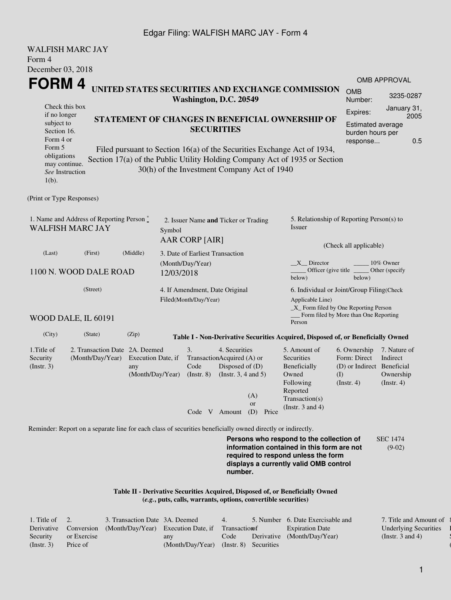## Edgar Filing: WALFISH MARC JAY - Form 4

| <b>WALFISH MARC JAY</b>                                                                     |                                                                                                             |                           |                                                        |                                                 |                                                          |                                                                                        |                                                                                                                                                       |                                            |                               |  |
|---------------------------------------------------------------------------------------------|-------------------------------------------------------------------------------------------------------------|---------------------------|--------------------------------------------------------|-------------------------------------------------|----------------------------------------------------------|----------------------------------------------------------------------------------------|-------------------------------------------------------------------------------------------------------------------------------------------------------|--------------------------------------------|-------------------------------|--|
| Form 4                                                                                      |                                                                                                             |                           |                                                        |                                                 |                                                          |                                                                                        |                                                                                                                                                       |                                            |                               |  |
| December 03, 2018                                                                           |                                                                                                             |                           |                                                        |                                                 |                                                          |                                                                                        |                                                                                                                                                       |                                            |                               |  |
| FORM 4                                                                                      |                                                                                                             |                           |                                                        |                                                 |                                                          |                                                                                        | UNITED STATES SECURITIES AND EXCHANGE COMMISSION                                                                                                      |                                            | OMB APPROVAL                  |  |
|                                                                                             | <b>OMB</b><br>Number:                                                                                       | 3235-0287                 |                                                        |                                                 |                                                          |                                                                                        |                                                                                                                                                       |                                            |                               |  |
| Check this box<br>if no longer                                                              |                                                                                                             |                           | Expires:                                               | January 31,                                     |                                                          |                                                                                        |                                                                                                                                                       |                                            |                               |  |
| subject to<br>Section 16.<br>Form 4 or<br>Form 5                                            |                                                                                                             |                           |                                                        | STATEMENT OF CHANGES IN BENEFICIAL OWNERSHIP OF | <b>Estimated average</b><br>burden hours per<br>response | 2005<br>0.5                                                                            |                                                                                                                                                       |                                            |                               |  |
| obligations<br>may continue.<br>See Instruction<br>$1(b)$ .                                 |                                                                                                             |                           |                                                        |                                                 |                                                          | 30(h) of the Investment Company Act of 1940                                            | Filed pursuant to Section 16(a) of the Securities Exchange Act of 1934,<br>Section 17(a) of the Public Utility Holding Company Act of 1935 or Section |                                            |                               |  |
| (Print or Type Responses)                                                                   |                                                                                                             |                           |                                                        |                                                 |                                                          |                                                                                        |                                                                                                                                                       |                                            |                               |  |
| 1. Name and Address of Reporting Person $\stackrel{*}{\text{-}}$<br><b>WALFISH MARC JAY</b> |                                                                                                             | Symbol                    | 2. Issuer Name and Ticker or Trading<br>AAR CORP [AIR] |                                                 |                                                          | 5. Relationship of Reporting Person(s) to<br>Issuer                                    |                                                                                                                                                       |                                            |                               |  |
|                                                                                             | (First)                                                                                                     |                           |                                                        | (Check all applicable)                          |                                                          |                                                                                        |                                                                                                                                                       |                                            |                               |  |
| (Last)                                                                                      | (Middle)                                                                                                    |                           | 3. Date of Earliest Transaction                        |                                                 |                                                          |                                                                                        |                                                                                                                                                       |                                            |                               |  |
| 1100 N. WOOD DALE ROAD                                                                      |                                                                                                             | 12/03/2018                | (Month/Day/Year)                                       |                                                 |                                                          | $X$ Director<br>10% Owner<br>Officer (give title<br>Other (specify<br>below)<br>below) |                                                                                                                                                       |                                            |                               |  |
|                                                                                             |                                                                                                             |                           | 4. If Amendment, Date Original                         |                                                 |                                                          | 6. Individual or Joint/Group Filing(Check                                              |                                                                                                                                                       |                                            |                               |  |
| WOOD DALE, IL 60191                                                                         |                                                                                                             |                           |                                                        | Filed(Month/Day/Year)                           |                                                          |                                                                                        | Applicable Line)<br>_X_ Form filed by One Reporting Person<br>Form filed by More than One Reporting<br>Person                                         |                                            |                               |  |
| (City)                                                                                      | (State)                                                                                                     | (Zip)                     |                                                        |                                                 |                                                          |                                                                                        | Table I - Non-Derivative Securities Acquired, Disposed of, or Beneficially Owned                                                                      |                                            |                               |  |
| 1. Title of                                                                                 | 2. Transaction Date 2A. Deemed                                                                              |                           |                                                        | 3.                                              | 4. Securities                                            |                                                                                        | 5. Amount of                                                                                                                                          | 6. Ownership                               | 7. Nature of                  |  |
| Security<br>(Insert. 3)                                                                     | (Month/Day/Year)                                                                                            | Execution Date, if<br>any |                                                        | Code                                            | TransactionAcquired (A) or<br>Disposed of (D)            |                                                                                        | Securities<br>Beneficially                                                                                                                            | Form: Direct<br>(D) or Indirect Beneficial | Indirect                      |  |
|                                                                                             |                                                                                                             | (Month/Day/Year)          |                                                        | $($ Instr. $8)$                                 | (Instr. $3, 4$ and $5$ )                                 |                                                                                        | Owned<br>Following                                                                                                                                    | $\rm (I)$<br>$($ Instr. 4 $)$              | Ownership<br>$($ Instr. 4 $)$ |  |
|                                                                                             |                                                                                                             |                           |                                                        |                                                 |                                                          | (A)                                                                                    | Reported<br>Transaction(s)                                                                                                                            |                                            |                               |  |
|                                                                                             |                                                                                                             |                           |                                                        | Code V Amount                                   | <sub>or</sub><br>(D)<br>Price                            | (Instr. $3$ and $4$ )                                                                  |                                                                                                                                                       |                                            |                               |  |
|                                                                                             |                                                                                                             |                           |                                                        |                                                 |                                                          |                                                                                        |                                                                                                                                                       |                                            |                               |  |
|                                                                                             | Reminder: Report on a separate line for each class of securities beneficially owned directly or indirectly. |                           |                                                        |                                                 |                                                          |                                                                                        | Persons who respond to the collection of                                                                                                              |                                            |                               |  |
|                                                                                             |                                                                                                             |                           |                                                        |                                                 | number.                                                  |                                                                                        | information contained in this form are not<br>required to respond unless the form<br>displays a currently valid OMB control                           |                                            | <b>SEC 1474</b><br>$(9-02)$   |  |
|                                                                                             |                                                                                                             |                           |                                                        |                                                 |                                                          | (e.g., puts, calls, warrants, options, convertible securities)                         | Table II - Derivative Securities Acquired, Disposed of, or Beneficially Owned                                                                         |                                            |                               |  |

| 1. Title of $\quad 2.$ |             | 3. Transaction Date 3A. Deemed                                           |                                        | 4.   | 5. Number 6. Date Exercisable and | 7. Title and Amount of       |
|------------------------|-------------|--------------------------------------------------------------------------|----------------------------------------|------|-----------------------------------|------------------------------|
|                        |             | Derivative Conversion (Month/Day/Year) Execution Date, if Transaction of |                                        |      | <b>Expiration Date</b>            | <b>Underlying Securities</b> |
| Security               | or Exercise |                                                                          | any                                    | Code | Derivative (Month/Day/Year)       | (Instr. 3 and 4)             |
| $($ Instr. 3 $)$       | Price of    |                                                                          | (Month/Day/Year) (Instr. 8) Securities |      |                                   |                              |

 $\{$ l Security  $($